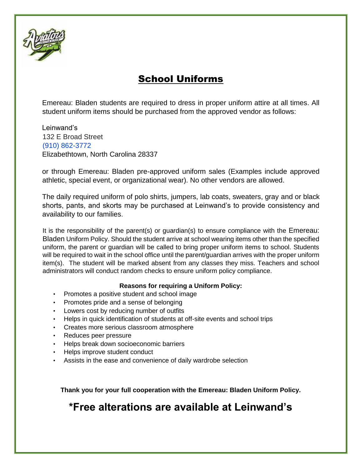

# School Uniforms

Emereau: Bladen students are required to dress in proper uniform attire at all times. All student uniform items should be purchased from the approved vendor as follows:

Leinwand's 132 E Broad Street (910) 862-3772 Elizabethtown, North Carolina 28337

or through Emereau: Bladen pre-approved uniform sales (Examples include approved athletic, special event, or organizational wear). No other vendors are allowed.

The daily required uniform of polo shirts, jumpers, lab coats, sweaters, gray and or black shorts, pants, and skorts may be purchased at Leinwand's to provide consistency and availability to our families.

It is the responsibility of the parent(s) or guardian(s) to ensure compliance with the Emereau: Bladen Uniform Policy. Should the student arrive at school wearing items other than the specified uniform, the parent or guardian will be called to bring proper uniform items to school. Students will be required to wait in the school office until the parent/guardian arrives with the proper uniform item(s). The student will be marked absent from any classes they miss. Teachers and school administrators will conduct random checks to ensure uniform policy compliance.

#### **Reasons for requiring a Uniform Policy:**

- Promotes a positive student and school image
- Promotes pride and a sense of belonging
- Lowers cost by reducing number of outfits
- Helps in quick identification of students at off-site events and school trips
- Creates more serious classroom atmosphere
- Reduces peer pressure
- Helps break down socioeconomic barriers
- Helps improve student conduct
- Assists in the ease and convenience of daily wardrobe selection

**Thank you for your full cooperation with the Emereau: Bladen Uniform Policy.**

# **\*Free alterations are available at Leinwand's**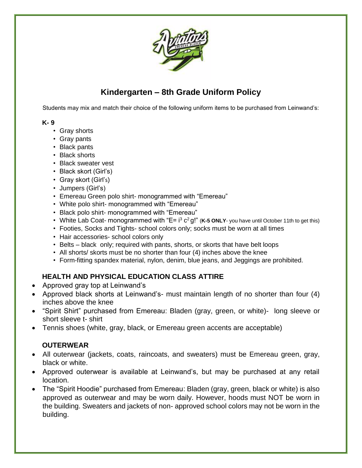

## **Kindergarten – 8th Grade Uniform Policy**

Students may mix and match their choice of the following uniform items to be purchased from Leinwand's:

#### **K- 9**

- Gray shorts
- Gray pants
- Black pants
- Black shorts
- Black sweater vest
- Black skort (Girl's)
- Gray skort (Girl's)
- Jumpers (Girl's)
- Emereau Green polo shirt- monogrammed with "Emereau"
- White polo shirt- monogrammed with "Emereau"
- Black polo shirt- monogrammed with "Emereau"
- White Lab Coat- monogrammed with "E= i<sup>3</sup> c<sup>2</sup> g!" (K-5 ONLY- you have until October 11th to get this)
- Footies, Socks and Tights- school colors only; socks must be worn at all times
- Hair accessories- school colors only
- Belts black only; required with pants, shorts, or skorts that have belt loops
- All shorts/ skorts must be no shorter than four (4) inches above the knee
- Form-fitting spandex material, nylon, denim, blue jeans, and Jeggings are prohibited.

### **HEALTH AND PHYSICAL EDUCATION CLASS ATTIRE**

- Approved gray top at Leinwand's
- Approved black shorts at Leinwand's- must maintain length of no shorter than four (4) inches above the knee
- "Spirit Shirt" purchased from Emereau: Bladen (gray, green, or white)- long sleeve or short sleeve t- shirt
- Tennis shoes (white, gray, black, or Emereau green accents are acceptable)

### **OUTERWEAR**

- All outerwear (jackets, coats, raincoats, and sweaters) must be Emereau green, gray, black or white.
- Approved outerwear is available at Leinwand's, but may be purchased at any retail location.
- The "Spirit Hoodie" purchased from Emereau: Bladen (gray, green, black or white) is also approved as outerwear and may be worn daily. However, hoods must NOT be worn in the building. Sweaters and jackets of non- approved school colors may not be worn in the building.